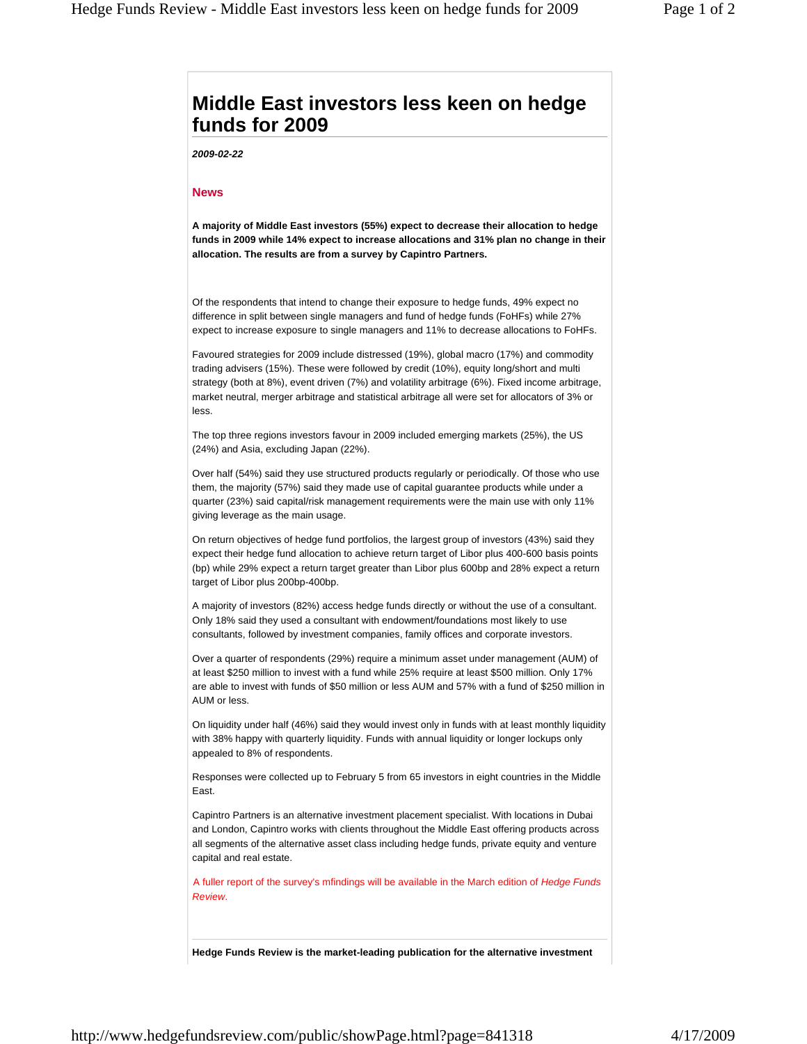## **Middle East investors less keen on hedge funds for 2009**

*2009-02-22*

## **News**

**A majority of Middle East investors (55%) expect to decrease their allocation to hedge funds in 2009 while 14% expect to increase allocations and 31% plan no change in their allocation. The results are from a survey by Capintro Partners.**

Of the respondents that intend to change their exposure to hedge funds, 49% expect no difference in split between single managers and fund of hedge funds (FoHFs) while 27% expect to increase exposure to single managers and 11% to decrease allocations to FoHFs.

Favoured strategies for 2009 include distressed (19%), global macro (17%) and commodity trading advisers (15%). These were followed by credit (10%), equity long/short and multi strategy (both at 8%), event driven (7%) and volatility arbitrage (6%). Fixed income arbitrage, market neutral, merger arbitrage and statistical arbitrage all were set for allocators of 3% or less.

The top three regions investors favour in 2009 included emerging markets (25%), the US (24%) and Asia, excluding Japan (22%).

Over half (54%) said they use structured products regularly or periodically. Of those who use them, the majority (57%) said they made use of capital guarantee products while under a quarter (23%) said capital/risk management requirements were the main use with only 11% giving leverage as the main usage.

On return objectives of hedge fund portfolios, the largest group of investors (43%) said they expect their hedge fund allocation to achieve return target of Libor plus 400-600 basis points (bp) while 29% expect a return target greater than Libor plus 600bp and 28% expect a return target of Libor plus 200bp-400bp.

A majority of investors (82%) access hedge funds directly or without the use of a consultant. Only 18% said they used a consultant with endowment/foundations most likely to use consultants, followed by investment companies, family offices and corporate investors.

Over a quarter of respondents (29%) require a minimum asset under management (AUM) of at least \$250 million to invest with a fund while 25% require at least \$500 million. Only 17% are able to invest with funds of \$50 million or less AUM and 57% with a fund of \$250 million in AUM or less.

On liquidity under half (46%) said they would invest only in funds with at least monthly liquidity with 38% happy with quarterly liquidity. Funds with annual liquidity or longer lockups only appealed to 8% of respondents.

Responses were collected up to February 5 from 65 investors in eight countries in the Middle East.

Capintro Partners is an alternative investment placement specialist. With locations in Dubai and London, Capintro works with clients throughout the Middle East offering products across all segments of the alternative asset class including hedge funds, private equity and venture capital and real estate.

A fuller report of the survey's mfindings will be available in the March edition of *Hedge Funds Review*.

**Hedge Funds Review is the market-leading publication for the alternative investment**